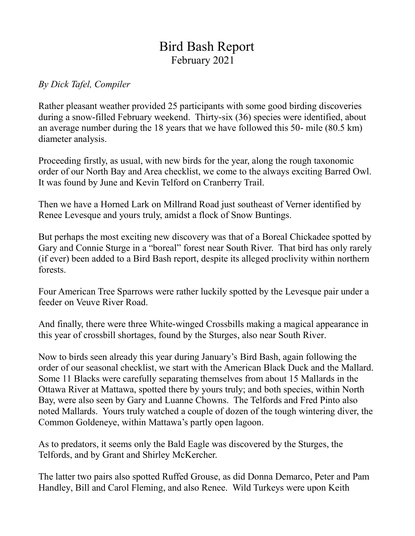## Bird Bash Report February 2021

## *By Dick Tafel, Compiler*

Rather pleasant weather provided 25 participants with some good birding discoveries during a snow-filled February weekend. Thirty-six (36) species were identified, about an average number during the 18 years that we have followed this 50- mile (80.5 km) diameter analysis.

Proceeding firstly, as usual, with new birds for the year, along the rough taxonomic order of our North Bay and Area checklist, we come to the always exciting Barred Owl. It was found by June and Kevin Telford on Cranberry Trail.

Then we have a Horned Lark on Millrand Road just southeast of Verner identified by Renee Levesque and yours truly, amidst a flock of Snow Buntings.

But perhaps the most exciting new discovery was that of a Boreal Chickadee spotted by Gary and Connie Sturge in a "boreal" forest near South River. That bird has only rarely (if ever) been added to a Bird Bash report, despite its alleged proclivity within northern forests.

Four American Tree Sparrows were rather luckily spotted by the Levesque pair under a feeder on Veuve River Road.

And finally, there were three White-winged Crossbills making a magical appearance in this year of crossbill shortages, found by the Sturges, also near South River.

Now to birds seen already this year during January's Bird Bash, again following the order of our seasonal checklist, we start with the American Black Duck and the Mallard. Some 11 Blacks were carefully separating themselves from about 15 Mallards in the Ottawa River at Mattawa, spotted there by yours truly; and both species, within North Bay, were also seen by Gary and Luanne Chowns. The Telfords and Fred Pinto also noted Mallards. Yours truly watched a couple of dozen of the tough wintering diver, the Common Goldeneye, within Mattawa's partly open lagoon.

As to predators, it seems only the Bald Eagle was discovered by the Sturges, the Telfords, and by Grant and Shirley McKercher.

The latter two pairs also spotted Ruffed Grouse, as did Donna Demarco, Peter and Pam Handley, Bill and Carol Fleming, and also Renee. Wild Turkeys were upon Keith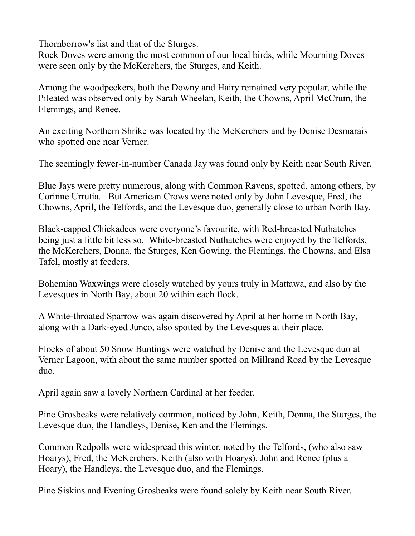Thornborrow's list and that of the Sturges.

Rock Doves were among the most common of our local birds, while Mourning Doves were seen only by the McKerchers, the Sturges, and Keith.

Among the woodpeckers, both the Downy and Hairy remained very popular, while the Pileated was observed only by Sarah Wheelan, Keith, the Chowns, April McCrum, the Flemings, and Renee.

An exciting Northern Shrike was located by the McKerchers and by Denise Desmarais who spotted one near Verner.

The seemingly fewer-in-number Canada Jay was found only by Keith near South River.

Blue Jays were pretty numerous, along with Common Ravens, spotted, among others, by Corinne Urrutia. But American Crows were noted only by John Levesque, Fred, the Chowns, April, the Telfords, and the Levesque duo, generally close to urban North Bay.

Black-capped Chickadees were everyone's favourite, with Red-breasted Nuthatches being just a little bit less so. White-breasted Nuthatches were enjoyed by the Telfords, the McKerchers, Donna, the Sturges, Ken Gowing, the Flemings, the Chowns, and Elsa Tafel, mostly at feeders.

Bohemian Waxwings were closely watched by yours truly in Mattawa, and also by the Levesques in North Bay, about 20 within each flock.

A White-throated Sparrow was again discovered by April at her home in North Bay, along with a Dark-eyed Junco, also spotted by the Levesques at their place.

Flocks of about 50 Snow Buntings were watched by Denise and the Levesque duo at Verner Lagoon, with about the same number spotted on Millrand Road by the Levesque duo.

April again saw a lovely Northern Cardinal at her feeder.

Pine Grosbeaks were relatively common, noticed by John, Keith, Donna, the Sturges, the Levesque duo, the Handleys, Denise, Ken and the Flemings.

Common Redpolls were widespread this winter, noted by the Telfords, (who also saw Hoarys), Fred, the McKerchers, Keith (also with Hoarys), John and Renee (plus a Hoary), the Handleys, the Levesque duo, and the Flemings.

Pine Siskins and Evening Grosbeaks were found solely by Keith near South River.